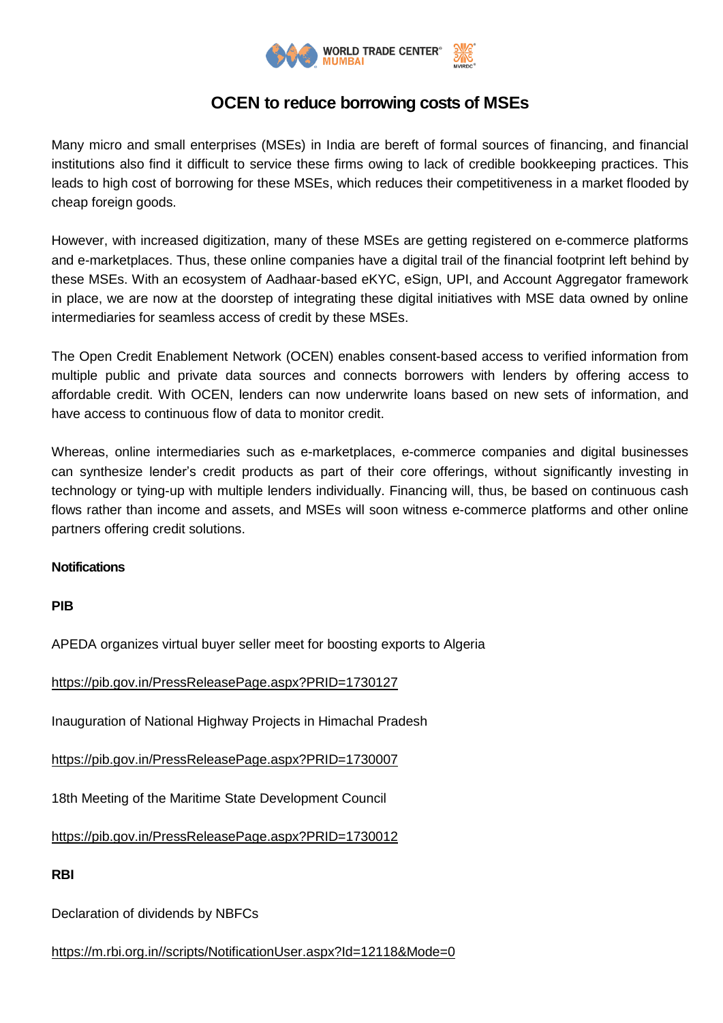

## **OCEN to reduce borrowing costs of MSEs**

Many micro and small enterprises (MSEs) in India are bereft of formal sources of financing, and financial institutions also find it difficult to service these firms owing to lack of credible bookkeeping practices. This leads to high cost of borrowing for these MSEs, which reduces their competitiveness in a market flooded by cheap foreign goods.

However, with increased digitization, many of these MSEs are getting registered on e-commerce platforms and e-marketplaces. Thus, these online companies have a digital trail of the financial footprint left behind by these MSEs. With an ecosystem of Aadhaar-based eKYC, eSign, UPI, and Account Aggregator framework in place, we are now at the doorstep of integrating these digital initiatives with MSE data owned by online intermediaries for seamless access of credit by these MSEs.

The Open Credit Enablement Network (OCEN) enables consent-based access to verified information from multiple public and private data sources and connects borrowers with lenders by offering access to affordable credit. With OCEN, lenders can now underwrite loans based on new sets of information, and have access to continuous flow of data to monitor credit.

Whereas, online intermediaries such as e-marketplaces, e-commerce companies and digital businesses can synthesize lender's credit products as part of their core offerings, without significantly investing in technology or tying-up with multiple lenders individually. Financing will, thus, be based on continuous cash flows rather than income and assets, and MSEs will soon witness e-commerce platforms and other online partners offering credit solutions.

## **Notifications**

## **PIB**

APEDA organizes virtual buyer seller meet for boosting exports to Algeria

<https://pib.gov.in/PressReleasePage.aspx?PRID=1730127>

Inauguration of National Highway Projects in Himachal Pradesh

<https://pib.gov.in/PressReleasePage.aspx?PRID=1730007>

18th Meeting of the Maritime State Development Council

<https://pib.gov.in/PressReleasePage.aspx?PRID=1730012>

**RBI**

Declaration of dividends by NBFCs

[https://m.rbi.org.in//scripts/NotificationUser.aspx?Id=12118&Mode=0](https://m.rbi.org.in/scripts/NotificationUser.aspx?Id=12118&Mode=0)